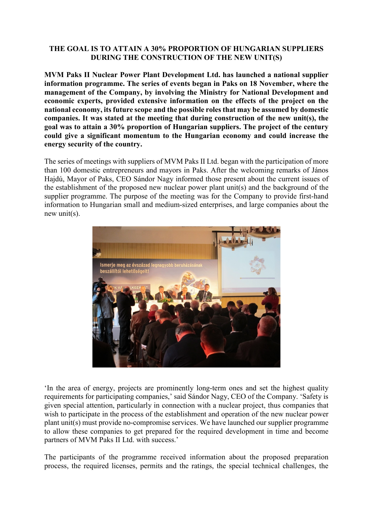## **THE GOAL IS TO ATTAIN A 30% PROPORTION OF HUNGARIAN SUPPLIERS DURING THE CONSTRUCTION OF THE NEW UNIT(S)**

**MVM Paks II Nuclear Power Plant Development Ltd. has launched a national supplier information programme. The series of events began in Paks on 18 November, where the management of the Company, by involving the Ministry for National Development and economic experts, provided extensive information on the effects of the project on the national economy, its future scope and the possible roles that may be assumed by domestic companies. It was stated at the meeting that during construction of the new unit(s), the goal was to attain a 30% proportion of Hungarian suppliers. The project of the century could give a significant momentum to the Hungarian economy and could increase the energy security of the country.**

The series of meetings with suppliers of MVM Paks II Ltd. began with the participation of more than 100 domestic entrepreneurs and mayors in Paks. After the welcoming remarks of János Hajdú, Mayor of Paks, CEO Sándor Nagy informed those present about the current issues of the establishment of the proposed new nuclear power plant unit(s) and the background of the supplier programme. The purpose of the meeting was for the Company to provide first-hand information to Hungarian small and medium-sized enterprises, and large companies about the new unit(s).



'In the area of energy, projects are prominently long-term ones and set the highest quality requirements for participating companies,' said Sándor Nagy, CEO of the Company. 'Safety is given special attention, particularly in connection with a nuclear project, thus companies that wish to participate in the process of the establishment and operation of the new nuclear power plant unit(s) must provide no-compromise services. We have launched our supplier programme to allow these companies to get prepared for the required development in time and become partners of MVM Paks II Ltd. with success.'

The participants of the programme received information about the proposed preparation process, the required licenses, permits and the ratings, the special technical challenges, the